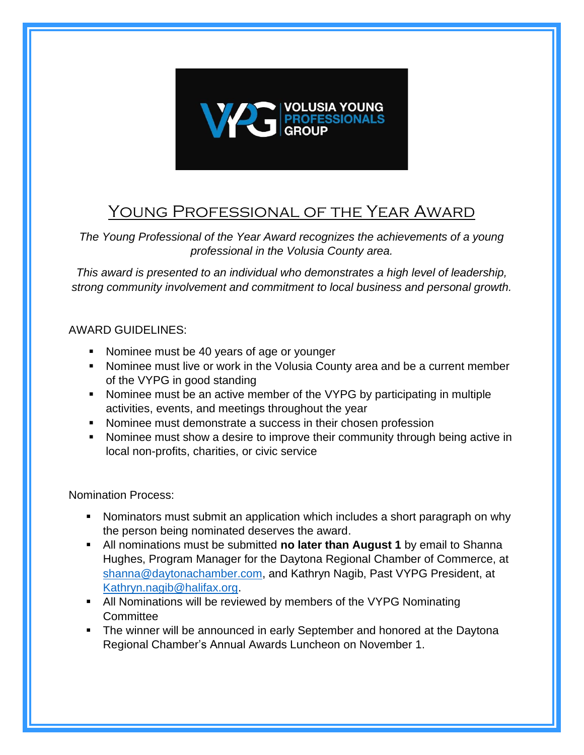

## Young Professional of the Year Award

*The Young Professional of the Year Award recognizes the achievements of a young professional in the Volusia County area.* 

*This award is presented to an individual who demonstrates a high level of leadership, strong community involvement and commitment to local business and personal growth.*

## AWARD GUIDELINES:

- Nominee must be 40 years of age or younger
- Nominee must live or work in the Volusia County area and be a current member of the VYPG in good standing
- Nominee must be an active member of the VYPG by participating in multiple activities, events, and meetings throughout the year
- Nominee must demonstrate a success in their chosen profession
- Nominee must show a desire to improve their community through being active in local non-profits, charities, or civic service

Nomination Process:

- Nominators must submit an application which includes a short paragraph on why the person being nominated deserves the award.
- **E** All nominations must be submitted **no later than August 1** by email to Shanna Hughes, Program Manager for the Daytona Regional Chamber of Commerce, at [shanna@daytonachamber.com,](mailto:shanna@daytonachamber.com) and Kathryn Nagib, Past VYPG President, at [Kathryn.nagib@halifax.org.](mailto:Kathryn.nagib@halifax.org)
- All Nominations will be reviewed by members of the VYPG Nominating **Committee**
- **•** The winner will be announced in early September and honored at the Daytona Regional Chamber's Annual Awards Luncheon on November 1.